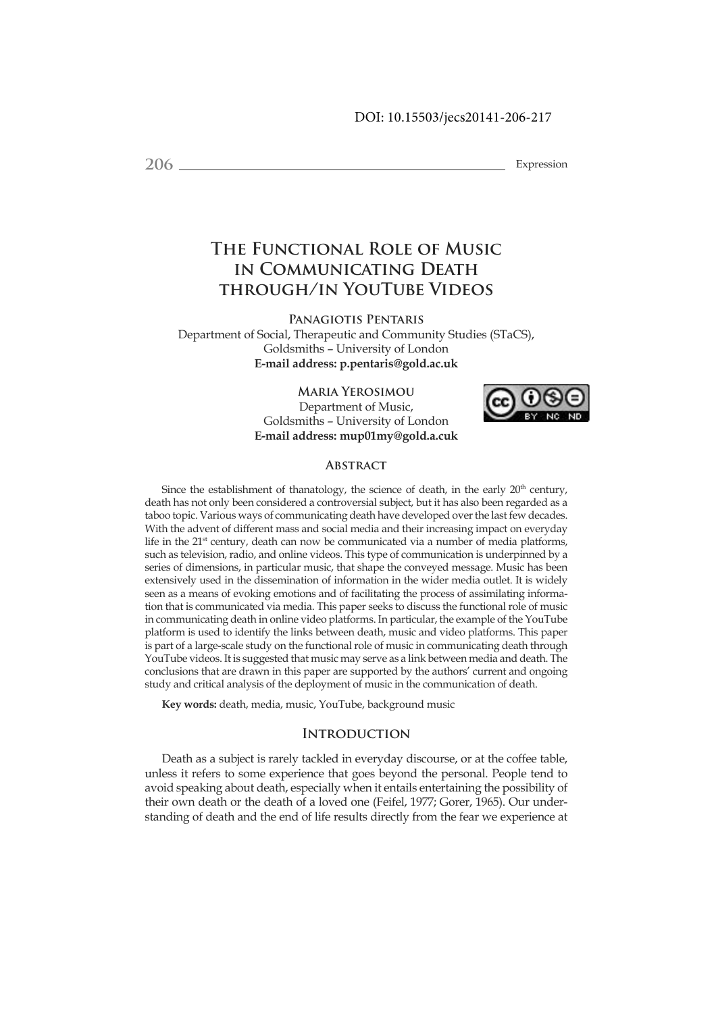**206** Expression

# **The Functional Role of Music in Communicating Death through/in YouTube Videos**

**Panagiotis Pentaris**

Department of Social, Therapeutic and Community Studies (STaCS), Goldsmiths – University of London **E-mail address: p.pentaris@gold.ac.uk**

> **Maria Yerosimou** Department of Music, Goldsmiths – University of London **E-mail address: mup01my@gold.a.cuk**



## **Abstract**

Since the establishment of thanatology, the science of death, in the early 20<sup>th</sup> century, death has not only been considered a controversial subject, but it has also been regarded as a taboo topic. Various ways of communicating death have developed over the last few decades. With the advent of different mass and social media and their increasing impact on everyday life in the 21<sup>st</sup> century, death can now be communicated via a number of media platforms, such as television, radio, and online videos. This type of communication is underpinned by a series of dimensions, in particular music, that shape the conveyed message. Music has been extensively used in the dissemination of information in the wider media outlet. It is widely seen as a means of evoking emotions and of facilitating the process of assimilating information that is communicated via media. This paper seeks to discuss the functional role of music in communicating death in online video platforms. In particular, the example of the YouTube platform is used to identify the links between death, music and video platforms. This paper is part of a large-scale study on the functional role of music in communicating death through YouTube videos. It is suggested that music may serve as a link between media and death. The conclusions that are drawn in this paper are supported by the authors' current and ongoing study and critical analysis of the deployment of music in the communication of death.

**Key words:** death, media, music, YouTube, background music

# **Introduction**

Death as a subject is rarely tackled in everyday discourse, or at the coffee table, unless it refers to some experience that goes beyond the personal. People tend to avoid speaking about death, especially when it entails entertaining the possibility of their own death or the death of a loved one (Feifel, 1977; Gorer, 1965). Our understanding of death and the end of life results directly from the fear we experience at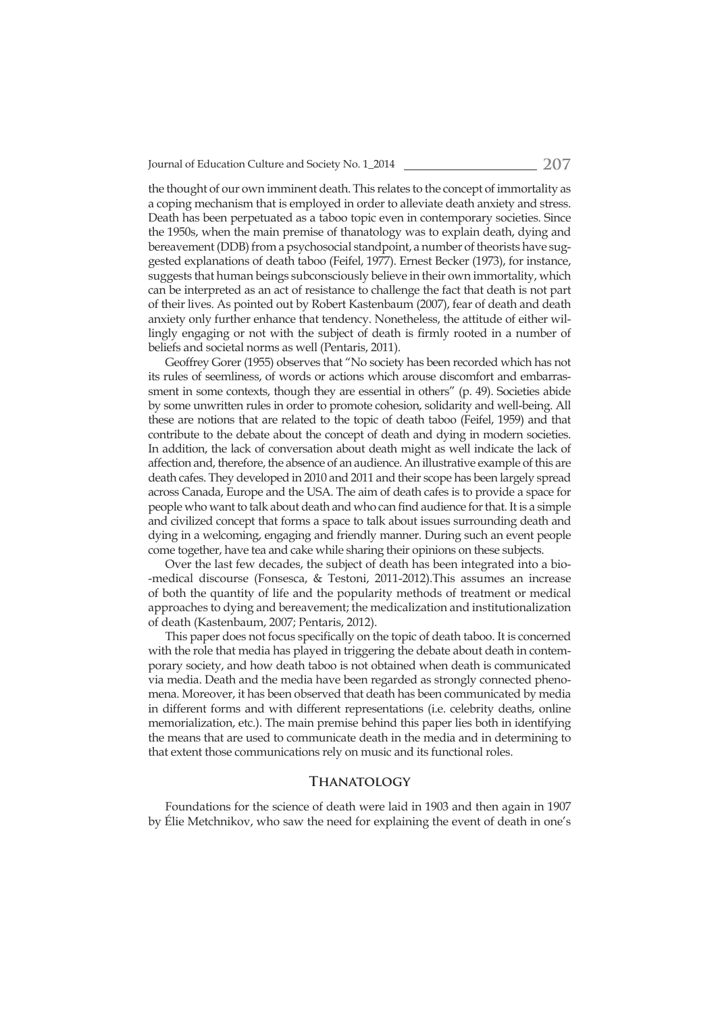Journal of Education Culture and Society No. 1\_2014 **207**

the thought of our own imminent death. This relates to the concept of immortality as a coping mechanism that is employed in order to alleviate death anxiety and stress. Death has been perpetuated as a taboo topic even in contemporary societies. Since the 1950s, when the main premise of thanatology was to explain death, dying and bereavement (DDB) from a psychosocial standpoint, a number of theorists have suggested explanations of death taboo (Feifel, 1977). Ernest Becker (1973), for instance, suggests that human beings subconsciously believe in their own immortality, which can be interpreted as an act of resistance to challenge the fact that death is not part of their lives. As pointed out by Robert Kastenbaum (2007), fear of death and death anxiety only further enhance that tendency. Nonetheless, the attitude of either willingly engaging or not with the subject of death is firmly rooted in a number of beliefs and societal norms as well (Pentaris, 2011).

Geoffrey Gorer (1955) observes that "No society has been recorded which has not its rules of seemliness, of words or actions which arouse discomfort and embarrassment in some contexts, though they are essential in others" (p. 49). Societies abide by some unwritten rules in order to promote cohesion, solidarity and well-being. All these are notions that are related to the topic of death taboo (Feifel, 1959) and that contribute to the debate about the concept of death and dying in modern societies. In addition, the lack of conversation about death might as well indicate the lack of affection and, therefore, the absence of an audience. An illustrative example of this are death cafes. They developed in 2010 and 2011 and their scope has been largely spread across Canada, Europe and the USA. The aim of death cafes is to provide a space for people who want to talk about death and who can find audience for that. It is a simple and civilized concept that forms a space to talk about issues surrounding death and dying in a welcoming, engaging and friendly manner. During such an event people come together, have tea and cake while sharing their opinions on these subjects.

Over the last few decades, the subject of death has been integrated into a bio- -medical discourse (Fonsesca, & Testoni, 2011-2012).This assumes an increase of both the quantity of life and the popularity methods of treatment or medical approaches to dying and bereavement; the medicalization and institutionalization of death (Kastenbaum, 2007; Pentaris, 2012).

This paper does not focus specifically on the topic of death taboo. It is concerned with the role that media has played in triggering the debate about death in contemporary society, and how death taboo is not obtained when death is communicated via media. Death and the media have been regarded as strongly connected phenomena. Moreover, it has been observed that death has been communicated by media in different forms and with different representations (i.e. celebrity deaths, online memorialization, etc.). The main premise behind this paper lies both in identifying the means that are used to communicate death in the media and in determining to that extent those communications rely on music and its functional roles.

#### **Thanatology**

Foundations for the science of death were laid in 1903 and then again in 1907 by Élie Metchnikov, who saw the need for explaining the event of death in one's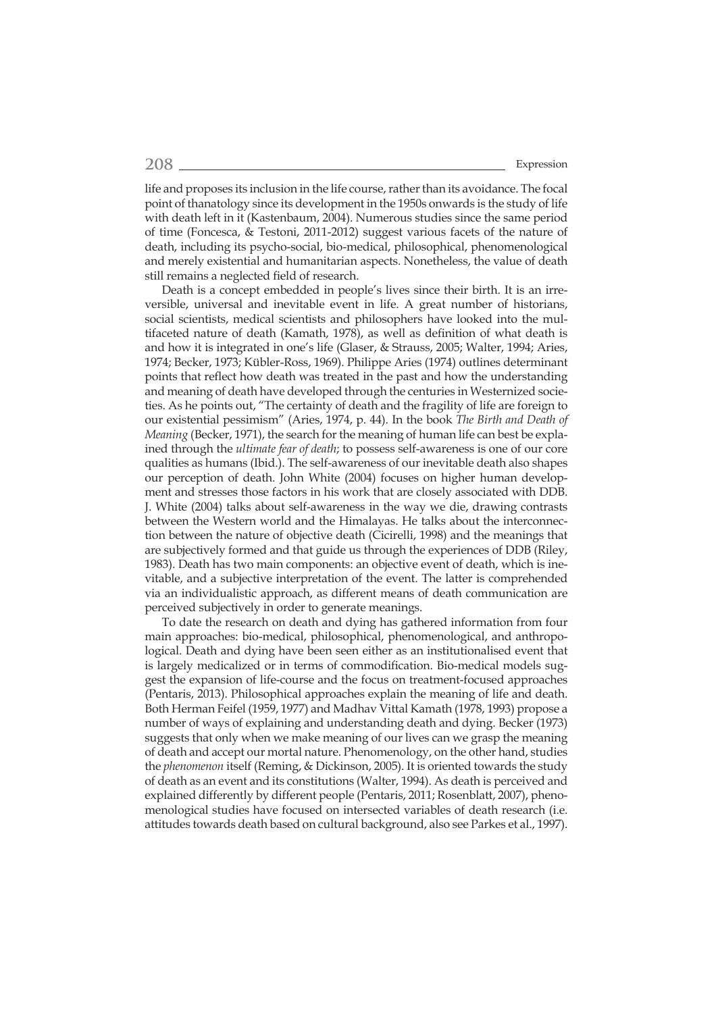life and proposes its inclusion in the life course, rather than its avoidance. The focal point of thanatology since its development in the 1950s onwards is the study of life with death left in it (Kastenbaum, 2004). Numerous studies since the same period of time (Foncesca, & Testoni, 2011-2012) suggest various facets of the nature of death, including its psycho-social, bio-medical, philosophical, phenomenological and merely existential and humanitarian aspects. Nonetheless, the value of death still remains a neglected field of research.

Death is a concept embedded in people's lives since their birth. It is an irreversible, universal and inevitable event in life. A great number of historians, social scientists, medical scientists and philosophers have looked into the multifaceted nature of death (Kamath, 1978), as well as definition of what death is and how it is integrated in one's life (Glaser, & Strauss, 2005; Walter, 1994; Aries, 1974; Becker, 1973; Kübler-Ross, 1969). Philippe Aries (1974) outlines determinant points that reflect how death was treated in the past and how the understanding and meaning of death have developed through the centuries in Westernized societies. As he points out, "The certainty of death and the fragility of life are foreign to our existential pessimism" (Aries, 1974, p. 44). In the book *The Birth and Death of Meaning* (Becker, 1971), the search for the meaning of human life can best be explained through the *ultimate fear of death*; to possess self-awareness is one of our core qualities as humans (Ibid.). The self-awareness of our inevitable death also shapes our perception of death. John White (2004) focuses on higher human development and stresses those factors in his work that are closely associated with DDB. J. White (2004) talks about self-awareness in the way we die, drawing contrasts between the Western world and the Himalayas. He talks about the interconnection between the nature of objective death (Cicirelli, 1998) and the meanings that are subjectively formed and that guide us through the experiences of DDB (Riley, 1983). Death has two main components: an objective event of death, which is inevitable, and a subjective interpretation of the event. The latter is comprehended via an individualistic approach, as different means of death communication are perceived subjectively in order to generate meanings.

To date the research on death and dying has gathered information from four main approaches: bio-medical, philosophical, phenomenological, and anthropological. Death and dying have been seen either as an institutionalised event that is largely medicalized or in terms of commodification. Bio-medical models suggest the expansion of life-course and the focus on treatment-focused approaches (Pentaris, 2013). Philosophical approaches explain the meaning of life and death. Both Herman Feifel (1959, 1977) and Madhav Vittal Kamath (1978, 1993) propose a number of ways of explaining and understanding death and dying. Becker (1973) suggests that only when we make meaning of our lives can we grasp the meaning of death and accept our mortal nature. Phenomenology, on the other hand, studies the *phenomenon* itself (Reming, & Dickinson, 2005). It is oriented towards the study of death as an event and its constitutions (Walter, 1994). As death is perceived and explained differently by different people (Pentaris, 2011; Rosenblatt, 2007), phenomenological studies have focused on intersected variables of death research (i.e. attitudes towards death based on cultural background, also see Parkes et al., 1997).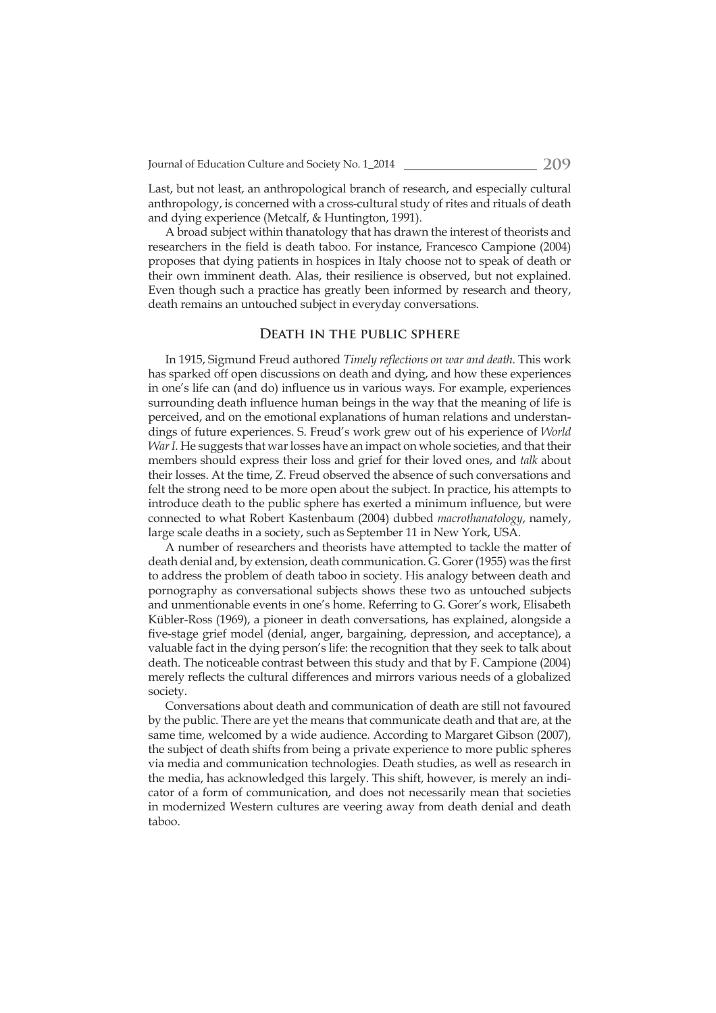Last, but not least, an anthropological branch of research, and especially cultural anthropology, is concerned with a cross-cultural study of rites and rituals of death and dying experience (Metcalf, & Huntington, 1991).

A broad subject within thanatology that has drawn the interest of theorists and researchers in the field is death taboo. For instance, Francesco Campione (2004) proposes that dying patients in hospices in Italy choose not to speak of death or their own imminent death. Alas, their resilience is observed, but not explained. Even though such a practice has greatly been informed by research and theory, death remains an untouched subject in everyday conversations.

### **Death in the public sphere**

In 1915, Sigmund Freud authored *Timely refl ections on war and death*. This work has sparked off open discussions on death and dying, and how these experiences in one's life can (and do) influence us in various ways. For example, experiences surrounding death influence human beings in the way that the meaning of life is perceived, and on the emotional explanations of human relations and understandings of future experiences. S. Freud's work grew out of his experience of *World War I.* He suggests that war losses have an impact on whole societies, and that their members should express their loss and grief for their loved ones, and *talk* about their losses. At the time, Z. Freud observed the absence of such conversations and felt the strong need to be more open about the subject. In practice, his attempts to introduce death to the public sphere has exerted a minimum influence, but were connected to what Robert Kastenbaum (2004) dubbed *macrothanatology*, namely, large scale deaths in a society, such as September 11 in New York, USA.

A number of researchers and theorists have attempted to tackle the matter of death denial and, by extension, death communication. G. Gorer (1955) was the first to address the problem of death taboo in society. His analogy between death and pornography as conversational subjects shows these two as untouched subjects and unmentionable events in one's home. Referring to G. Gorer's work, Elisabeth Kübler-Ross (1969), a pioneer in death conversations, has explained, alongside a five-stage grief model (denial, anger, bargaining, depression, and acceptance), a valuable fact in the dying person's life: the recognition that they seek to talk about death. The noticeable contrast between this study and that by F. Campione (2004) merely reflects the cultural differences and mirrors various needs of a globalized society.

Conversations about death and communication of death are still not favoured by the public. There are yet the means that communicate death and that are, at the same time, welcomed by a wide audience. According to Margaret Gibson (2007), the subject of death shifts from being a private experience to more public spheres via media and communication technologies. Death studies, as well as research in the media, has acknowledged this largely. This shift, however, is merely an indicator of a form of communication, and does not necessarily mean that societies in modernized Western cultures are veering away from death denial and death taboo.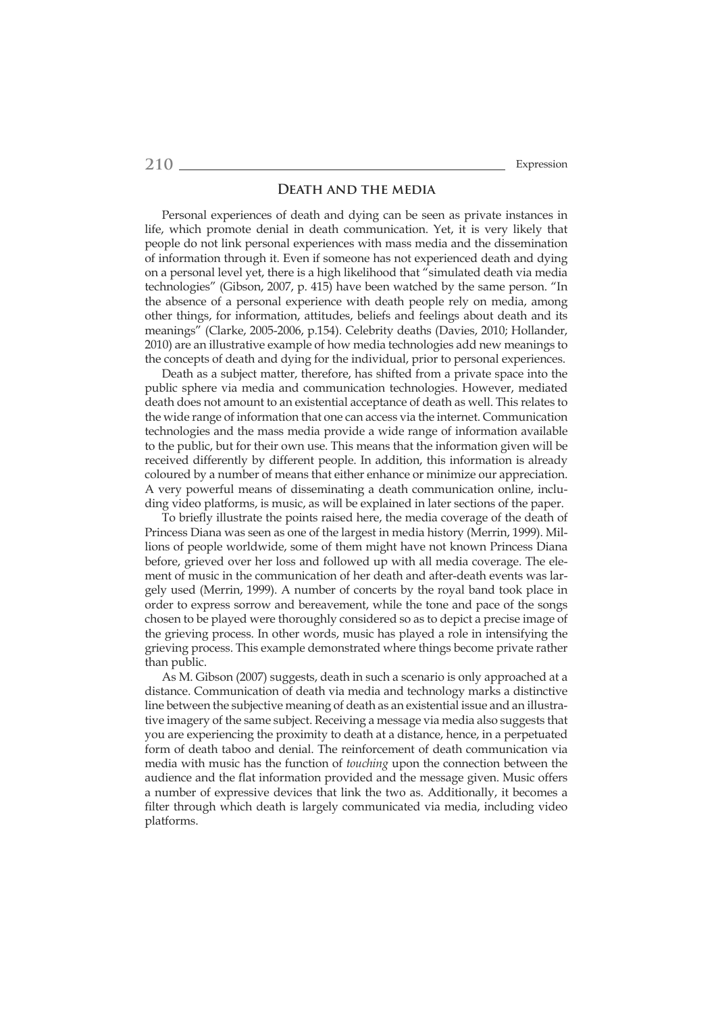#### **Death and the media**

Personal experiences of death and dying can be seen as private instances in life, which promote denial in death communication. Yet, it is very likely that people do not link personal experiences with mass media and the dissemination of information through it. Even if someone has not experienced death and dying on a personal level yet, there is a high likelihood that "simulated death via media technologies" (Gibson, 2007, p. 415) have been watched by the same person. "In the absence of a personal experience with death people rely on media, among other things, for information, attitudes, beliefs and feelings about death and its meanings" (Clarke, 2005-2006, p.154). Celebrity deaths (Davies, 2010; Hollander, 2010) are an illustrative example of how media technologies add new meanings to the concepts of death and dying for the individual, prior to personal experiences.

Death as a subject matter, therefore, has shifted from a private space into the public sphere via media and communication technologies. However, mediated death does not amount to an existential acceptance of death as well. This relates to the wide range of information that one can access via the internet. Communication technologies and the mass media provide a wide range of information available to the public, but for their own use. This means that the information given will be received differently by different people. In addition, this information is already coloured by a number of means that either enhance or minimize our appreciation. A very powerful means of disseminating a death communication online, including video platforms, is music, as will be explained in later sections of the paper.

To briefly illustrate the points raised here, the media coverage of the death of Princess Diana was seen as one of the largest in media history (Merrin, 1999). Millions of people worldwide, some of them might have not known Princess Diana before, grieved over her loss and followed up with all media coverage. The element of music in the communication of her death and after-death events was largely used (Merrin, 1999). A number of concerts by the royal band took place in order to express sorrow and bereavement, while the tone and pace of the songs chosen to be played were thoroughly considered so as to depict a precise image of the grieving process. In other words, music has played a role in intensifying the grieving process. This example demonstrated where things become private rather than public.

As M. Gibson (2007) suggests, death in such a scenario is only approached at a distance. Communication of death via media and technology marks a distinctive line between the subjective meaning of death as an existential issue and an illustrative imagery of the same subject. Receiving a message via media also suggests that you are experiencing the proximity to death at a distance, hence, in a perpetuated form of death taboo and denial. The reinforcement of death communication via media with music has the function of *touching* upon the connection between the audience and the flat information provided and the message given. Music offers a number of expressive devices that link the two as. Additionally, it becomes a filter through which death is largely communicated via media, including video platforms.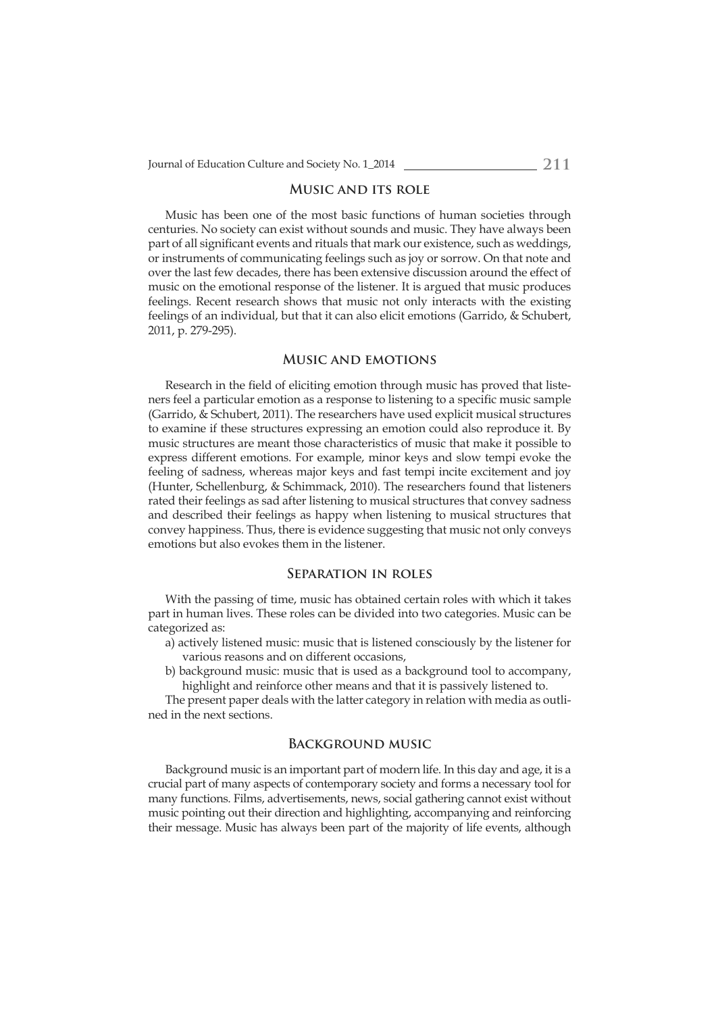#### **Music and its role**

Music has been one of the most basic functions of human societies through centuries. No society can exist without sounds and music. They have always been part of all significant events and rituals that mark our existence, such as weddings, or instruments of communicating feelings such as joy or sorrow. On that note and over the last few decades, there has been extensive discussion around the effect of music on the emotional response of the listener. It is argued that music produces feelings. Recent research shows that music not only interacts with the existing feelings of an individual, but that it can also elicit emotions (Garrido, & Schubert, 2011, p. 279-295).

## **Music and emotions**

Research in the field of eliciting emotion through music has proved that listeners feel a particular emotion as a response to listening to a specific music sample (Garrido, & Schubert, 2011). The researchers have used explicit musical structures to examine if these structures expressing an emotion could also reproduce it. By music structures are meant those characteristics of music that make it possible to express different emotions. For example, minor keys and slow tempi evoke the feeling of sadness, whereas major keys and fast tempi incite excitement and joy (Hunter, Schellenburg, & Schimmack, 2010). The researchers found that listeners rated their feelings as sad after listening to musical structures that convey sadness and described their feelings as happy when listening to musical structures that convey happiness. Thus, there is evidence suggesting that music not only conveys emotions but also evokes them in the listener.

#### **Separation in roles**

With the passing of time, music has obtained certain roles with which it takes part in human lives. These roles can be divided into two categories. Music can be categorized as:

- a) actively listened music: music that is listened consciously by the listener for various reasons and on different occasions,
- b) background music: music that is used as a background tool to accompany, highlight and reinforce other means and that it is passively listened to.

The present paper deals with the latter category in relation with media as outlined in the next sections.

# **Background music**

Background music is an important part of modern life. In this day and age, it is a crucial part of many aspects of contemporary society and forms a necessary tool for many functions. Films, advertisements, news, social gathering cannot exist without music pointing out their direction and highlighting, accompanying and reinforcing their message. Music has always been part of the majority of life events, although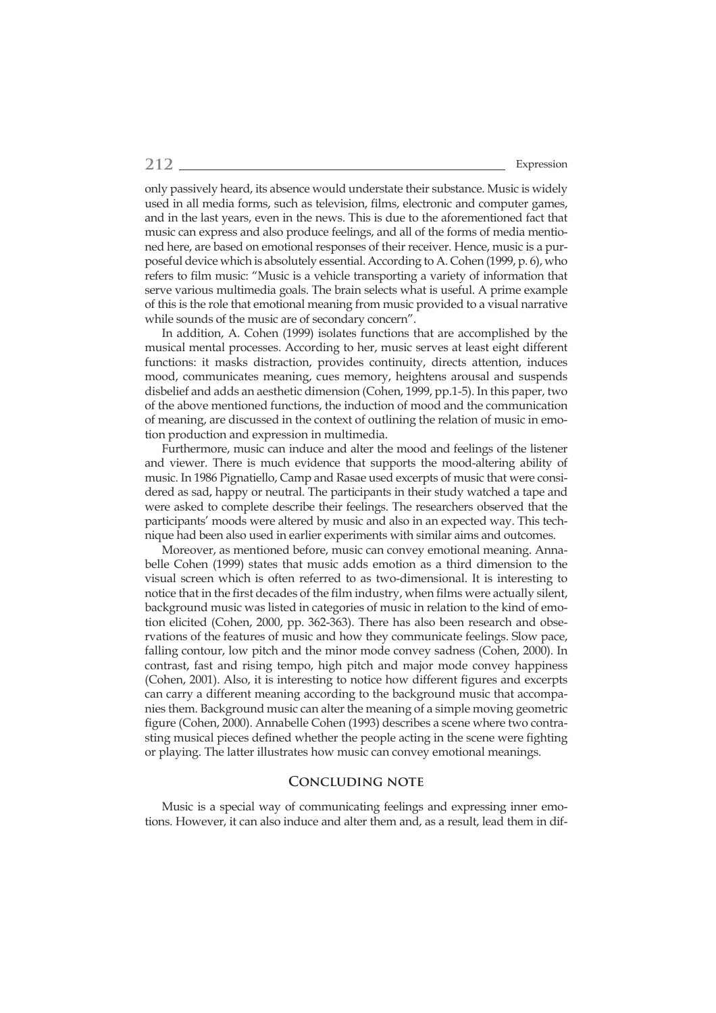only passively heard, its absence would understate their substance. Music is widely used in all media forms, such as television, films, electronic and computer games, and in the last years, even in the news. This is due to the aforementioned fact that music can express and also produce feelings, and all of the forms of media mentioned here, are based on emotional responses of their receiver. Hence, music is a purposeful device which is absolutely essential. According to A. Cohen (1999, p. 6), who refers to film music: "Music is a vehicle transporting a variety of information that serve various multimedia goals. The brain selects what is useful. A prime example of this is the role that emotional meaning from music provided to a visual narrative while sounds of the music are of secondary concern".

In addition, A. Cohen (1999) isolates functions that are accomplished by the musical mental processes. According to her, music serves at least eight different functions: it masks distraction, provides continuity, directs attention, induces mood, communicates meaning, cues memory, heightens arousal and suspends disbelief and adds an aesthetic dimension (Cohen, 1999, pp.1-5). In this paper, two of the above mentioned functions, the induction of mood and the communication of meaning, are discussed in the context of outlining the relation of music in emotion production and expression in multimedia.

Furthermore, music can induce and alter the mood and feelings of the listener and viewer. There is much evidence that supports the mood-altering ability of music. In 1986 Pignatiello, Camp and Rasae used excerpts of music that were considered as sad, happy or neutral. The participants in their study watched a tape and were asked to complete describe their feelings. The researchers observed that the participants' moods were altered by music and also in an expected way. This technique had been also used in earlier experiments with similar aims and outcomes.

Moreover, as mentioned before, music can convey emotional meaning. Annabelle Cohen (1999) states that music adds emotion as a third dimension to the visual screen which is often referred to as two-dimensional. It is interesting to notice that in the first decades of the film industry, when films were actually silent, background music was listed in categories of music in relation to the kind of emotion elicited (Cohen, 2000, pp. 362-363). There has also been research and observations of the features of music and how they communicate feelings. Slow pace, falling contour, low pitch and the minor mode convey sadness (Cohen, 2000). In contrast, fast and rising tempo, high pitch and major mode convey happiness (Cohen, 2001). Also, it is interesting to notice how different figures and excerpts can carry a different meaning according to the background music that accompanies them. Background music can alter the meaning of a simple moving geometric figure (Cohen, 2000). Annabelle Cohen (1993) describes a scene where two contrasting musical pieces defined whether the people acting in the scene were fighting or playing. The latter illustrates how music can convey emotional meanings.

#### **Concluding note**

Music is a special way of communicating feelings and expressing inner emotions. However, it can also induce and alter them and, as a result, lead them in dif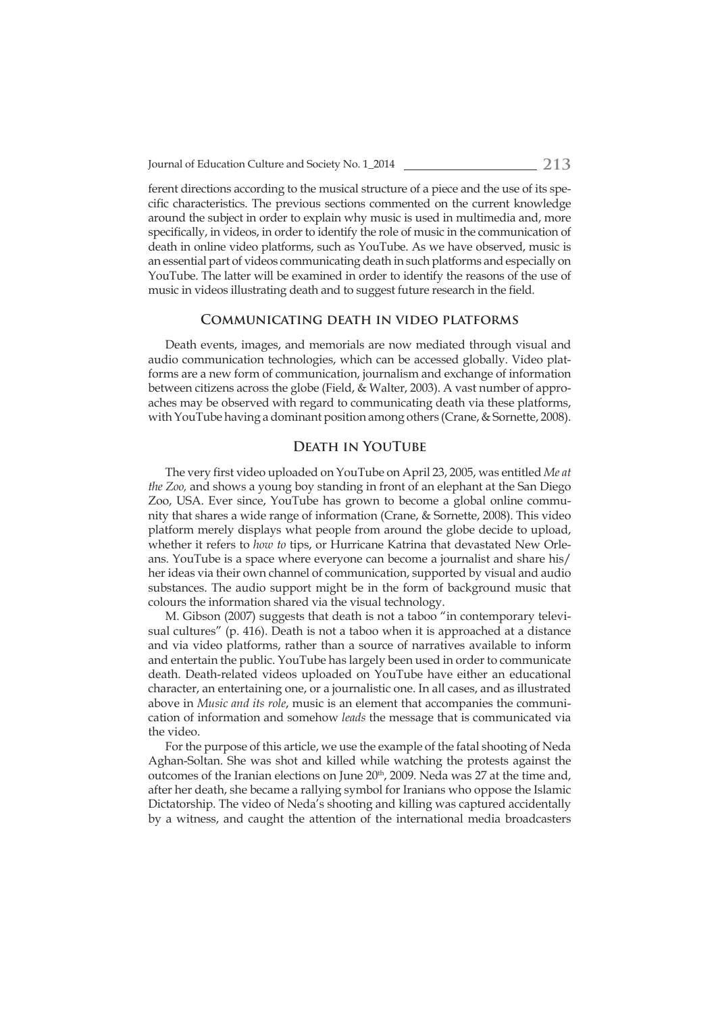ferent directions according to the musical structure of a piece and the use of its specific characteristics. The previous sections commented on the current knowledge around the subject in order to explain why music is used in multimedia and, more specifically, in videos, in order to identify the role of music in the communication of death in online video platforms, such as YouTube. As we have observed, music is an essential part of videos communicating death in such platforms and especially on YouTube. The latter will be examined in order to identify the reasons of the use of music in videos illustrating death and to suggest future research in the field.

#### **Communicating death in video platforms**

Death events, images, and memorials are now mediated through visual and audio communication technologies, which can be accessed globally. Video platforms are a new form of communication, journalism and exchange of information between citizens across the globe (Field, & Walter, 2003). A vast number of approaches may be observed with regard to communicating death via these platforms, with YouTube having a dominant position among others (Crane, & Sornette, 2008).

#### **Death in YouTube**

The very first video uploaded on YouTube on April 23, 2005, was entitled Me at *the Zoo,* and shows a young boy standing in front of an elephant at the San Diego Zoo, USA. Ever since, YouTube has grown to become a global online community that shares a wide range of information (Crane, & Sornette, 2008). This video platform merely displays what people from around the globe decide to upload, whether it refers to *how to* tips, or Hurricane Katrina that devastated New Orleans. YouTube is a space where everyone can become a journalist and share his/ her ideas via their own channel of communication, supported by visual and audio substances. The audio support might be in the form of background music that colours the information shared via the visual technology.

M. Gibson (2007) suggests that death is not a taboo "in contemporary televisual cultures" (p. 416). Death is not a taboo when it is approached at a distance and via video platforms, rather than a source of narratives available to inform and entertain the public. YouTube has largely been used in order to communicate death. Death-related videos uploaded on YouTube have either an educational character, an entertaining one, or a journalistic one. In all cases, and as illustrated above in *Music and its role*, music is an element that accompanies the communication of information and somehow *leads* the message that is communicated via the video.

For the purpose of this article, we use the example of the fatal shooting of Neda Aghan-Soltan. She was shot and killed while watching the protests against the outcomes of the Iranian elections on June 20<sup>th</sup>, 2009. Neda was 27 at the time and, after her death, she became a rallying symbol for Iranians who oppose the Islamic Dictatorship. The video of Neda's shooting and killing was captured accidentally by a witness, and caught the attention of the international media broadcasters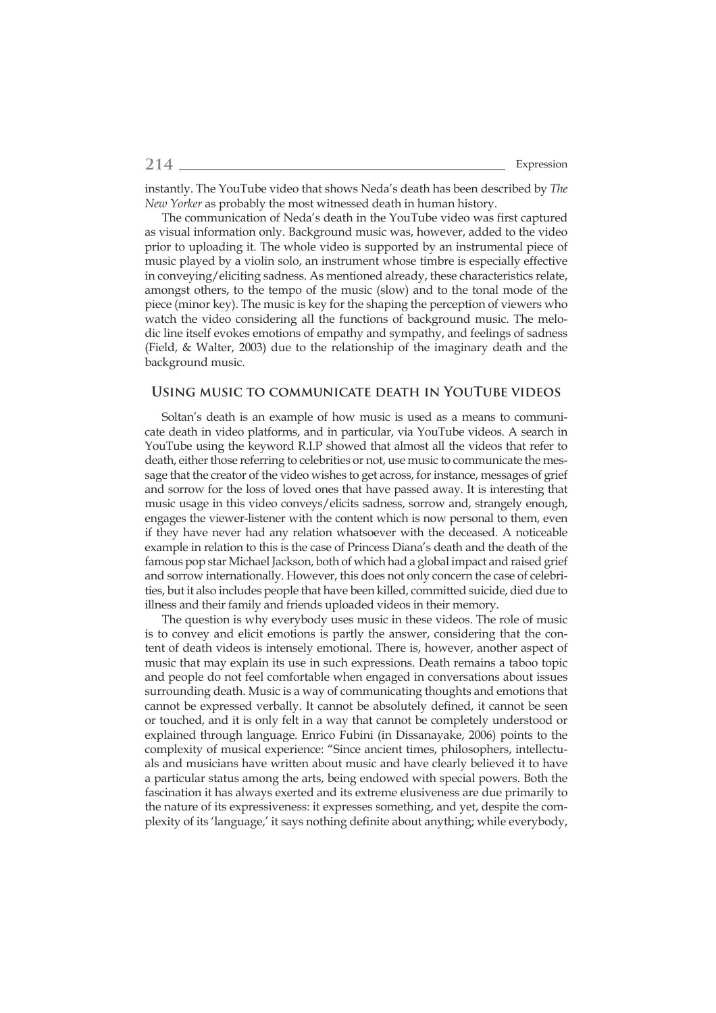instantly. The YouTube video that shows Neda's death has been described by *The New Yorker* as probably the most witnessed death in human history.

The communication of Neda's death in the YouTube video was first captured as visual information only. Background music was, however, added to the video prior to uploading it. The whole video is supported by an instrumental piece of music played by a violin solo, an instrument whose timbre is especially effective in conveying/eliciting sadness. As mentioned already, these characteristics relate, amongst others, to the tempo of the music (slow) and to the tonal mode of the piece (minor key). The music is key for the shaping the perception of viewers who watch the video considering all the functions of background music. The melodic line itself evokes emotions of empathy and sympathy, and feelings of sadness (Field, & Walter, 2003) due to the relationship of the imaginary death and the background music.

### **Using music to communicate death in YouTube videos**

Soltan's death is an example of how music is used as a means to communicate death in video platforms, and in particular, via YouTube videos. A search in YouTube using the keyword R.I.P showed that almost all the videos that refer to death, either those referring to celebrities or not, use music to communicate the message that the creator of the video wishes to get across, for instance, messages of grief and sorrow for the loss of loved ones that have passed away. It is interesting that music usage in this video conveys/elicits sadness, sorrow and, strangely enough, engages the viewer-listener with the content which is now personal to them, even if they have never had any relation whatsoever with the deceased. A noticeable example in relation to this is the case of Princess Diana's death and the death of the famous pop star Michael Jackson, both of which had a global impact and raised grief and sorrow internationally. However, this does not only concern the case of celebrities, but it also includes people that have been killed, committed suicide, died due to illness and their family and friends uploaded videos in their memory.

The question is why everybody uses music in these videos. The role of music is to convey and elicit emotions is partly the answer, considering that the content of death videos is intensely emotional. There is, however, another aspect of music that may explain its use in such expressions. Death remains a taboo topic and people do not feel comfortable when engaged in conversations about issues surrounding death. Music is a way of communicating thoughts and emotions that cannot be expressed verbally. It cannot be absolutely defined, it cannot be seen or touched, and it is only felt in a way that cannot be completely understood or explained through language. Enrico Fubini (in Dissanayake, 2006) points to the complexity of musical experience: "Since ancient times, philosophers, intellectuals and musicians have written about music and have clearly believed it to have a particular status among the arts, being endowed with special powers. Both the fascination it has always exerted and its extreme elusiveness are due primarily to the nature of its expressiveness: it expresses something, and yet, despite the complexity of its 'language,' it says nothing definite about anything; while everybody,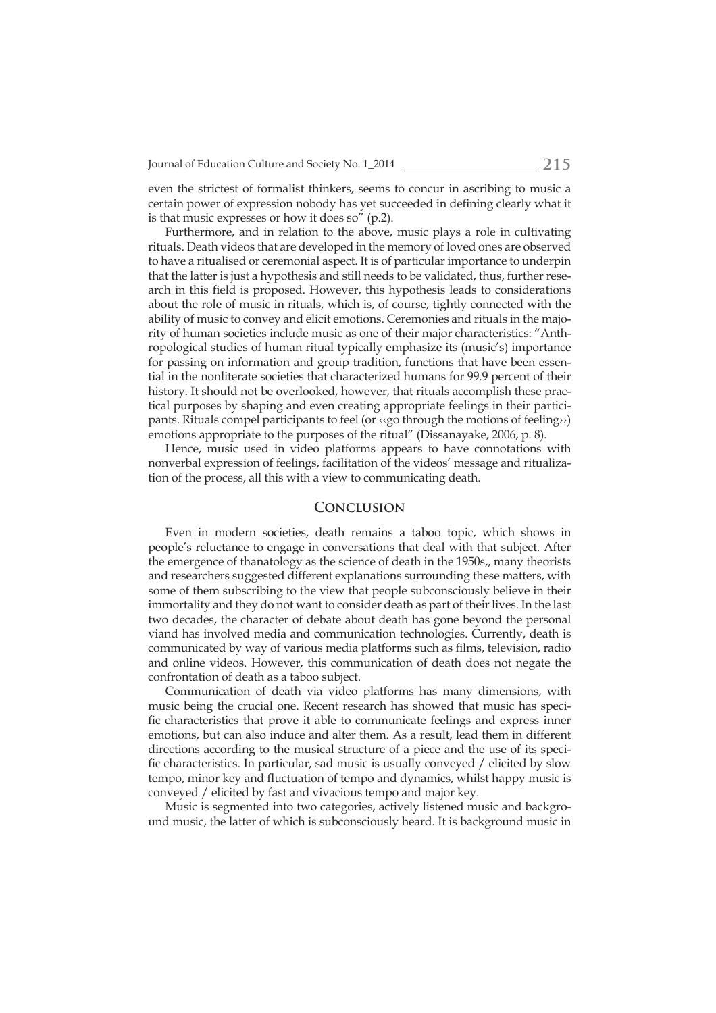even the strictest of formalist thinkers, seems to concur in ascribing to music a certain power of expression nobody has yet succeeded in defining clearly what it is that music expresses or how it does so" (p.2).

Furthermore, and in relation to the above, music plays a role in cultivating rituals. Death videos that are developed in the memory of loved ones are observed to have a ritualised or ceremonial aspect. It is of particular importance to underpin that the latter is just a hypothesis and still needs to be validated, thus, further research in this field is proposed. However, this hypothesis leads to considerations about the role of music in rituals, which is, of course, tightly connected with the ability of music to convey and elicit emotions. Ceremonies and rituals in the majority of human societies include music as one of their major characteristics: "Anthropological studies of human ritual typically emphasize its (music's) importance for passing on information and group tradition, functions that have been essential in the nonliterate societies that characterized humans for 99.9 percent of their history. It should not be overlooked, however, that rituals accomplish these practical purposes by shaping and even creating appropriate feelings in their participants. Rituals compel participants to feel (or ‹‹go through the motions of feeling››) emotions appropriate to the purposes of the ritual" (Dissanayake, 2006, p. 8).

Hence, music used in video platforms appears to have connotations with nonverbal expression of feelings, facilitation of the videos' message and ritualization of the process, all this with a view to communicating death.

# **Conclusion**

Even in modern societies, death remains a taboo topic, which shows in people's reluctance to engage in conversations that deal with that subject. After the emergence of thanatology as the science of death in the 1950s,, many theorists and researchers suggested different explanations surrounding these matters, with some of them subscribing to the view that people subconsciously believe in their immortality and they do not want to consider death as part of their lives. In the last two decades, the character of debate about death has gone beyond the personal viand has involved media and communication technologies. Currently, death is communicated by way of various media platforms such as films, television, radio and online videos. However, this communication of death does not negate the confrontation of death as a taboo subject.

Communication of death via video platforms has many dimensions, with music being the crucial one. Recent research has showed that music has specific characteristics that prove it able to communicate feelings and express inner emotions, but can also induce and alter them. As a result, lead them in different directions according to the musical structure of a piece and the use of its specific characteristics. In particular, sad music is usually conveyed / elicited by slow tempo, minor key and fluctuation of tempo and dynamics, whilst happy music is conveyed / elicited by fast and vivacious tempo and major key.

Music is segmented into two categories, actively listened music and background music, the latter of which is subconsciously heard. It is background music in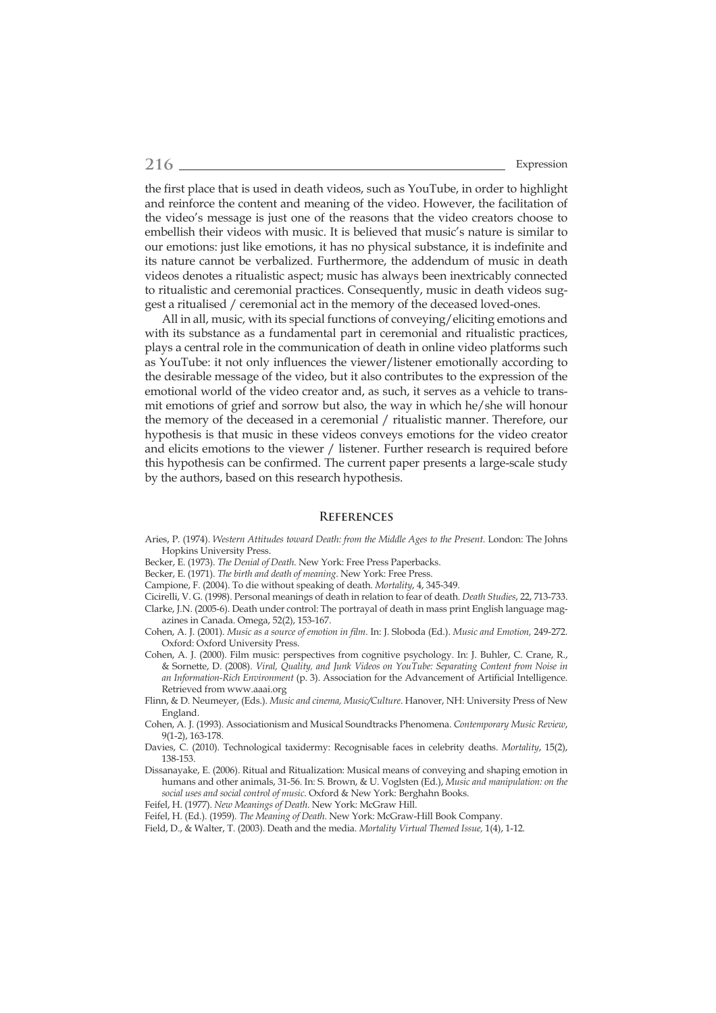the first place that is used in death videos, such as YouTube, in order to highlight and reinforce the content and meaning of the video. However, the facilitation of the video's message is just one of the reasons that the video creators choose to embellish their videos with music. It is believed that music's nature is similar to our emotions: just like emotions, it has no physical substance, it is indefinite and its nature cannot be verbalized. Furthermore, the addendum of music in death videos denotes a ritualistic aspect; music has always been inextricably connected to ritualistic and ceremonial practices. Consequently, music in death videos suggest a ritualised / ceremonial act in the memory of the deceased loved-ones.

All in all, music, with its special functions of conveying/eliciting emotions and with its substance as a fundamental part in ceremonial and ritualistic practices, plays a central role in the communication of death in online video platforms such as YouTube: it not only influences the viewer/listener emotionally according to the desirable message of the video, but it also contributes to the expression of the emotional world of the video creator and, as such, it serves as a vehicle to transmit emotions of grief and sorrow but also, the way in which he/she will honour the memory of the deceased in a ceremonial / ritualistic manner. Therefore, our hypothesis is that music in these videos conveys emotions for the video creator and elicits emotions to the viewer / listener. Further research is required before this hypothesis can be confirmed. The current paper presents a large-scale study by the authors, based on this research hypothesis.

#### **References**

- Aries, P. (1974). *Western Attitudes toward Death: from the Middle Ages to the Present*. London: The Johns Hopkins University Press.
- Becker, E. (1973). *The Denial of Death*. New York: Free Press Paperbacks.
- Becker, E. (1971). *The birth and death of meaning*. New York: Free Press.
- Campione, F. (2004). To die without speaking of death. *Mortality*, 4, 345-349.
- Cicirelli, V. G. (1998). Personal meanings of death in relation to fear of death. *Death Studies*, 22, 713-733. Clarke, J.N. (2005-6). Death under control: The portrayal of death in mass print English language magazines in Canada. Omega, 52(2), 153-167.
- Cohen, A. J. (2001). *Music as a source of emotion in fi lm*. In: J. Sloboda (Ed.). *Music and Emotion,* 249-272. Oxford: Oxford University Press.
- Cohen, A. J. (2000). Film music: perspectives from cognitive psychology. In: J. Buhler, C. Crane, R., & Sornette, D. (2008). *Viral, Quality, and Junk Videos on YouTube: Separating Content from Noise in an Information-Rich Environment* (p. 3). Association for the Advancement of Artificial Intelligence. Retrieved from www.aaai.org
- Flinn, & D. Neumeyer, (Eds.). *Music and cinema, Music/Culture*. Hanover, NH: University Press of New England.
- Cohen, A. J. (1993). Associationism and Musical Soundtracks Phenomena. *Contemporary Music Review*, 9(1-2), 163-178.
- Davies, C. (2010). Technological taxidermy: Recognisable faces in celebrity deaths. *Mortality*, 15(2), 138-153.
- Dissanayake, E. (2006). Ritual and Ritualization: Musical means of conveying and shaping emotion in humans and other animals, 31-56. In: S. Brown, & U. Voglsten (Ed.), *Music and manipulation: on the social uses and social control of music.* Oxford & New York: Berghahn Books.
- Feifel, H. (1977). *New Meanings of Death*. New York: McGraw Hill.
- Feifel, H. (Ed.). (1959). *The Meaning of Death*. New York: McGraw-Hill Book Company.

Field, D., & Walter, T. (2003). Death and the media. *Mortality Virtual Themed Issue,* 1(4), 1-12*.*